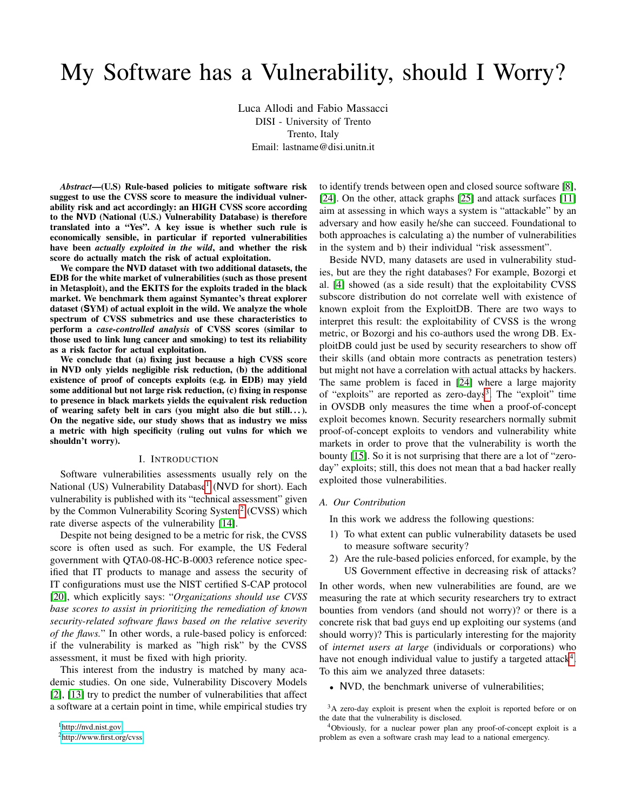# My Software has a Vulnerability, should I Worry?

Luca Allodi and Fabio Massacci DISI - University of Trento Trento, Italy Email: lastname@disi.unitn.it

*Abstract*—(U.S) Rule-based policies to mitigate software risk suggest to use the CVSS score to measure the individual vulnerability risk and act accordingly: an HIGH CVSS score according to the **N**VD (National (U.S.) Vulnerability Database) is therefore translated into a "Yes". A key issue is whether such rule is economically sensible, in particular if reported vulnerabilities have been *actually exploited in the wild*, and whether the risk score do actually match the risk of actual exploitation.

We compare the **N**VD dataset with two additional datasets, the **E**DB for the white market of vulnerabilities (such as those present in Metasploit), and the **E**KITS for the exploits traded in the black market. We benchmark them against Symantec's threat explorer dataset (**S**YM) of actual exploit in the wild. We analyze the whole spectrum of CVSS submetrics and use these characteristics to perform a *case-controlled analysis* of CVSS scores (similar to those used to link lung cancer and smoking) to test its reliability as a risk factor for actual exploitation.

We conclude that (a) fixing just because a high CVSS score in **N**VD only yields negligible risk reduction, (b) the additional existence of proof of concepts exploits (e.g. in **E**DB) may yield some additional but not large risk reduction, (c) fixing in response to presence in black markets yields the equivalent risk reduction of wearing safety belt in cars (you might also die but still. . . ). On the negative side, our study shows that as industry we miss a metric with high specificity (ruling out vulns for which we shouldn't worry).

#### I. INTRODUCTION

Software vulnerabilities assessments usually rely on the National (US) Vulnerability Database<sup>[1](#page-0-0)</sup> (NVD for short). Each vulnerability is published with its "technical assessment" given by the Common Vulnerability Scoring System<sup>[2](#page-0-1)</sup> (CVSS) which rate diverse aspects of the vulnerability [\[14\]](#page-8-0).

Despite not being designed to be a metric for risk, the CVSS score is often used as such. For example, the US Federal government with QTA0-08-HC-B-0003 reference notice specified that IT products to manage and assess the security of IT configurations must use the NIST certified S-CAP protocol [\[20\]](#page-8-1), which explicitly says: "*Organizations should use CVSS base scores to assist in prioritizing the remediation of known security-related software flaws based on the relative severity of the flaws.*" In other words, a rule-based policy is enforced: if the vulnerability is marked as "high risk" by the CVSS assessment, it must be fixed with high priority.

This interest from the industry is matched by many academic studies. On one side, Vulnerability Discovery Models [\[2\]](#page-8-2), [\[13\]](#page-8-3) try to predict the number of vulnerabilities that affect a software at a certain point in time, while empirical studies try

<span id="page-0-0"></span><sup>1</sup><http://nvd.nist.gov>

<span id="page-0-1"></span><sup>2</sup><http://www.first.org/cvss>

to identify trends between open and closed source software [\[8\]](#page-8-4), [\[24\]](#page-8-5). On the other, attack graphs [\[25\]](#page-8-6) and attack surfaces [\[11\]](#page-8-7) aim at assessing in which ways a system is "attackable" by an adversary and how easily he/she can succeed. Foundational to both approaches is calculating a) the number of vulnerabilities in the system and b) their individual "risk assessment".

Beside NVD, many datasets are used in vulnerability studies, but are they the right databases? For example, Bozorgi et al. [\[4\]](#page-8-8) showed (as a side result) that the exploitability CVSS subscore distribution do not correlate well with existence of known exploit from the ExploitDB. There are two ways to interpret this result: the exploitability of CVSS is the wrong metric, or Bozorgi and his co-authors used the wrong DB. ExploitDB could just be used by security researchers to show off their skills (and obtain more contracts as penetration testers) but might not have a correlation with actual attacks by hackers. The same problem is faced in [\[24\]](#page-8-5) where a large majority of "exploits" are reported as zero-days<sup>[3](#page-0-2)</sup>. The "exploit" time in OVSDB only measures the time when a proof-of-concept exploit becomes known. Security researchers normally submit proof-of-concept exploits to vendors and vulnerability white markets in order to prove that the vulnerability is worth the bounty [\[15\]](#page-8-9). So it is not surprising that there are a lot of "zeroday" exploits; still, this does not mean that a bad hacker really exploited those vulnerabilities.

## *A. Our Contribution*

In this work we address the following questions:

- 1) To what extent can public vulnerability datasets be used to measure software security?
- 2) Are the rule-based policies enforced, for example, by the US Government effective in decreasing risk of attacks?

In other words, when new vulnerabilities are found, are we measuring the rate at which security researchers try to extract bounties from vendors (and should not worry)? or there is a concrete risk that bad guys end up exploiting our systems (and should worry)? This is particularly interesting for the majority of *internet users at large* (individuals or corporations) who have not enough individual value to justify a targeted attack<sup>[4](#page-0-3)</sup>. To this aim we analyzed three datasets:

• NVD, the benchmark universe of vulnerabilities;

<span id="page-0-2"></span><sup>&</sup>lt;sup>3</sup>A zero-day exploit is present when the exploit is reported before or on the date that the vulnerability is disclosed.

<span id="page-0-3"></span><sup>4</sup>Obviously, for a nuclear power plan any proof-of-concept exploit is a problem as even a software crash may lead to a national emergency.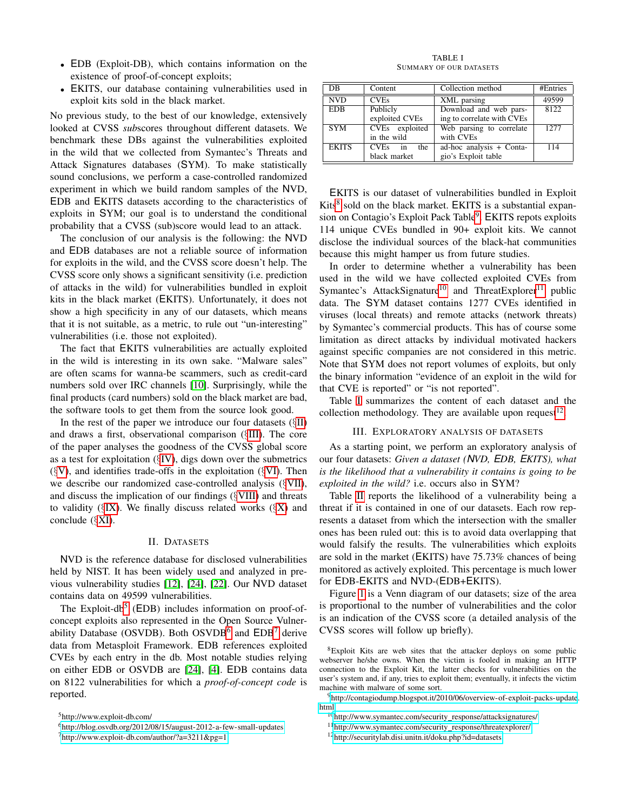- EDB (Exploit-DB), which contains information on the existence of proof-of-concept exploits;
- EKITS, our database containing vulnerabilities used in exploit kits sold in the black market.

No previous study, to the best of our knowledge, extensively looked at CVSS *sub*scores throughout different datasets. We benchmark these DBs against the vulnerabilities exploited in the wild that we collected from Symantec's Threats and Attack Signatures databases (SYM). To make statistically sound conclusions, we perform a case-controlled randomized experiment in which we build random samples of the NVD, EDB and EKITS datasets according to the characteristics of exploits in SYM; our goal is to understand the conditional probability that a CVSS (sub)score would lead to an attack.

The conclusion of our analysis is the following: the NVD and EDB databases are not a reliable source of information for exploits in the wild, and the CVSS score doesn't help. The CVSS score only shows a significant sensitivity (i.e. prediction of attacks in the wild) for vulnerabilities bundled in exploit kits in the black market (EKITS). Unfortunately, it does not show a high specificity in any of our datasets, which means that it is not suitable, as a metric, to rule out "un-interesting" vulnerabilities (i.e. those not exploited).

The fact that EKITS vulnerabilities are actually exploited in the wild is interesting in its own sake. "Malware sales" are often scams for wanna-be scammers, such as credit-card numbers sold over IRC channels [\[10\]](#page-8-10). Surprisingly, while the final products (card numbers) sold on the black market are bad, the software tools to get them from the source look good.

In the rest of the paper we introduce our four datasets  $(\S II)$  $(\S II)$ and draws a first, observational comparison (§[III\)](#page-1-1). The core of the paper analyses the goodness of the CVSS global score as a test for exploitation  $(\S$ [IV\)](#page-3-0), digs down over the submetrics  $(\S{V})$ , and identifies trade-offs in the exploitation  $(\S{VI})$ . Then we describe our randomized case-controlled analysis (§[VII\)](#page-5-1), and discuss the implication of our findings (§[VIII\)](#page-6-0) and threats to validity ( $\S$ [IX\)](#page-7-0). We finally discuss related works ( $\S$ [X\)](#page-7-1) and conclude (§[XI\)](#page-8-11).

## II. DATASETS

<span id="page-1-0"></span>NVD is the reference database for disclosed vulnerabilities held by NIST. It has been widely used and analyzed in previous vulnerability studies [\[12\]](#page-8-12), [\[24\]](#page-8-5), [\[22\]](#page-8-13). Our NVD dataset contains data on 49599 vulnerabilities.

The Exploit-db<sup>[5](#page-1-2)</sup> (EDB) includes information on proof-ofconcept exploits also represented in the Open Source Vulner-ability Database (OSVDB). Both OSVDB<sup>[6](#page-1-3)</sup> and EDB<sup>[7](#page-1-4)</sup> derive data from Metasploit Framework. EDB references exploited CVEs by each entry in the db. Most notable studies relying on either EDB or OSVDB are [\[24\]](#page-8-5), [\[4\]](#page-8-8). EDB contains data on 8122 vulnerabilities for which a *proof-of-concept code* is reported.

TABLE I SUMMARY OF OUR DATASETS

<span id="page-1-9"></span>

| DB           | Content                       | Collection method                     | #Entries |
|--------------|-------------------------------|---------------------------------------|----------|
| <b>NVD</b>   | <b>CVEs</b>                   | XML parsing                           |          |
| <b>EDB</b>   | Publicly                      | Download and web pars-                | 8122     |
|              | exploited CVEs                | ing to correlate with CVEs            |          |
| <b>SYM</b>   | CVEs exploited<br>in the wild | Web parsing to correlate<br>with CVEs | 12.77    |
|              |                               |                                       |          |
| <b>EKITS</b> | $CVEs$ in<br>the              | ad-hoc analysis + Conta-              | 114      |
|              | black market                  | gio's Exploit table                   |          |

EKITS is our dataset of vulnerabilities bundled in Exploit Kits<sup>[8](#page-1-5)</sup> sold on the black market. EKITS is a substantial expan-sion on Contagio's Exploit Pack Table<sup>[9](#page-1-6)</sup>. EKITS repots exploits 114 unique CVEs bundled in 90+ exploit kits. We cannot disclose the individual sources of the black-hat communities because this might hamper us from future studies.

In order to determine whether a vulnerability has been used in the wild we have collected exploited CVEs from Symantec's AttackSignature<sup>[10](#page-1-7)</sup> and ThreatExplorer<sup>[11](#page-1-8)</sup> public data. The SYM dataset contains 1277 CVEs identified in viruses (local threats) and remote attacks (network threats) by Symantec's commercial products. This has of course some limitation as direct attacks by individual motivated hackers against specific companies are not considered in this metric. Note that SYM does not report volumes of exploits, but only the binary information "evidence of an exploit in the wild for that CVE is reported" or "is not reported".

Table [I](#page-1-9) summarizes the content of each dataset and the collection methodology. They are available upon request<sup>[12](#page-1-10)</sup>.

## III. EXPLORATORY ANALYSIS OF DATASETS

<span id="page-1-1"></span>As a starting point, we perform an exploratory analysis of our four datasets: *Given a dataset (NVD, EDB, EKITS), what is the likelihood that a vulnerability it contains is going to be exploited in the wild?* i.e. occurs also in SYM?

Table [II](#page-2-0) reports the likelihood of a vulnerability being a threat if it is contained in one of our datasets. Each row represents a dataset from which the intersection with the smaller ones has been ruled out: this is to avoid data overlapping that would falsify the results. The vulnerabilities which exploits are sold in the market (EKITS) have 75.73% chances of being monitored as actively exploited. This percentage is much lower for EDB-EKITS and NVD-(EDB+EKITS).

Figure [1](#page-2-1) is a Venn diagram of our datasets; size of the area is proportional to the number of vulnerabilities and the color is an indication of the CVSS score (a detailed analysis of the CVSS scores will follow up briefly).

<span id="page-1-6"></span><sup>9</sup>[http://contagiodump.blogspot.it/2010/06/overview-of-exploit-packs-update](http://contagiodump.blogspot.it/2010/06/overview-of-exploit-packs-update.html). [html](http://contagiodump.blogspot.it/2010/06/overview-of-exploit-packs-update.html)

<span id="page-1-2"></span><sup>5</sup>http://www.exploit-db.com/

<span id="page-1-3"></span><sup>6</sup><http://blog.osvdb.org/2012/08/15/august-2012-a-few-small-updates>

<span id="page-1-4"></span><sup>7</sup><http://www.exploit-db.com/author/?a=3211&pg=1>

<span id="page-1-5"></span><sup>8</sup>Exploit Kits are web sites that the attacker deploys on some public webserver he/she owns. When the victim is fooled in making an HTTP connection to the Exploit Kit, the latter checks for vulnerabilities on the user's system and, if any, tries to exploit them; eventually, it infects the victim machine with malware of some sort.

<span id="page-1-7"></span> $10$ [http://www.symantec.com/security](http://www.symantec.com/security_response/attacksignatures/)\_response/attacksignatures/

<span id="page-1-8"></span> $11$ [http://www.symantec.com/security](http://www.symantec.com/security_response/threatexplorer/)\_response/threatexplorer/

<span id="page-1-10"></span><sup>12</sup><http://securitylab.disi.unitn.it/doku.php?id=datasets>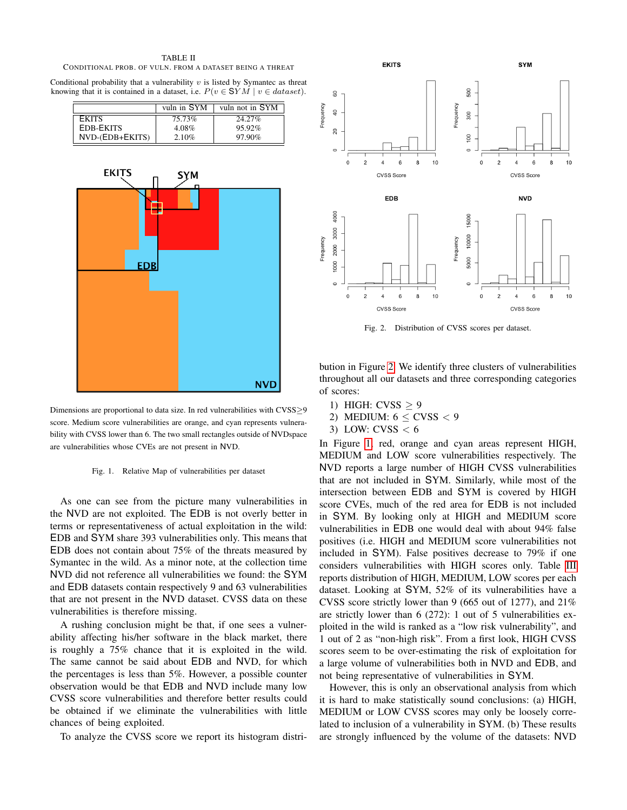#### <span id="page-2-0"></span>TABLE II CONDITIONAL PROB. OF VULN. FROM A DATASET BEING A THREAT

Conditional probability that a vulnerability v is listed by Symantec as threat<br>linewise that it is contained in a detect i.e.  $P(x \in SYM | x \in data$ 

| wing that it is contained in a dataset, i.e. $P(v \in SYM \mid v \in dataset)$ |              |        |                                   |  |  |
|--------------------------------------------------------------------------------|--------------|--------|-----------------------------------|--|--|
|                                                                                |              |        | vuln in $SYM$   vuln not in $SYM$ |  |  |
|                                                                                | <b>EKITS</b> | 75.73% | 24.27%                            |  |  |
|                                                                                | EDB-EKITS    | 4.08%  | 95.92%                            |  |  |

NVD-(EDB+EKITS) 2.10% 97.90%



Dimensions are proportional to data size. In red vulnerabilities with CVSS≥9 score. Medium score vulnerabilities are orange, and cyan represents vulnerability with CVSS lower than 6. The two small rectangles outside of NVDspace are vulnerabilities whose CVEs are not present in NVD.

#### <span id="page-2-1"></span>Fig. 1. Relative Map of vulnerabilities per dataset

As one can see from the picture many vulnerabilities in the NVD are not exploited. The EDB is not overly better in terms or representativeness of actual exploitation in the wild: EDB and SYM share 393 vulnerabilities only. This means that EDB does not contain about 75% of the threats measured by Symantec in the wild. As a minor note, at the collection time NVD did not reference all vulnerabilities we found: the SYM and EDB datasets contain respectively 9 and 63 vulnerabilities that are not present in the NVD dataset. CVSS data on these vulnerabilities is therefore missing.

A rushing conclusion might be that, if one sees a vulnerability affecting his/her software in the black market, there is roughly a 75% chance that it is exploited in the wild. The same cannot be said about EDB and NVD, for which the percentages is less than 5%. However, a possible counter observation would be that EDB and NVD include many low CVSS score vulnerabilities and therefore better results could be obtained if we eliminate the vulnerabilities with little chances of being exploited.

To analyze the CVSS score we report its histogram distri-



<span id="page-2-2"></span>Fig. 2. Distribution of CVSS scores per dataset.

bution in Figure [2.](#page-2-2) We identify three clusters of vulnerabilities throughout all our datasets and three corresponding categories of scores:

- 1) HIGH:  $CVSS > 9$
- 2) MEDIUM:  $6 <$  CVSS  $<$  9
- 3) LOW: CVSS  $< 6$

In Figure [1,](#page-2-1) red, orange and cyan areas represent HIGH, MEDIUM and LOW score vulnerabilities respectively. The NVD reports a large number of HIGH CVSS vulnerabilities that are not included in SYM. Similarly, while most of the intersection between EDB and SYM is covered by HIGH score CVEs, much of the red area for EDB is not included in SYM. By looking only at HIGH and MEDIUM score vulnerabilities in EDB one would deal with about 94% false positives (i.e. HIGH and MEDIUM score vulnerabilities not included in SYM). False positives decrease to 79% if one considers vulnerabilities with HIGH scores only. Table [III](#page-3-2) reports distribution of HIGH, MEDIUM, LOW scores per each dataset. Looking at SYM, 52% of its vulnerabilities have a CVSS score strictly lower than 9 (665 out of 1277), and 21% are strictly lower than 6 (272): 1 out of 5 vulnerabilities exploited in the wild is ranked as a "low risk vulnerability", and 1 out of 2 as "non-high risk". From a first look, HIGH CVSS scores seem to be over-estimating the risk of exploitation for a large volume of vulnerabilities both in NVD and EDB, and not being representative of vulnerabilities in SYM.

However, this is only an observational analysis from which it is hard to make statistically sound conclusions: (a) HIGH, MEDIUM or LOW CVSS scores may only be loosely correlated to inclusion of a vulnerability in SYM. (b) These results are strongly influenced by the volume of the datasets: NVD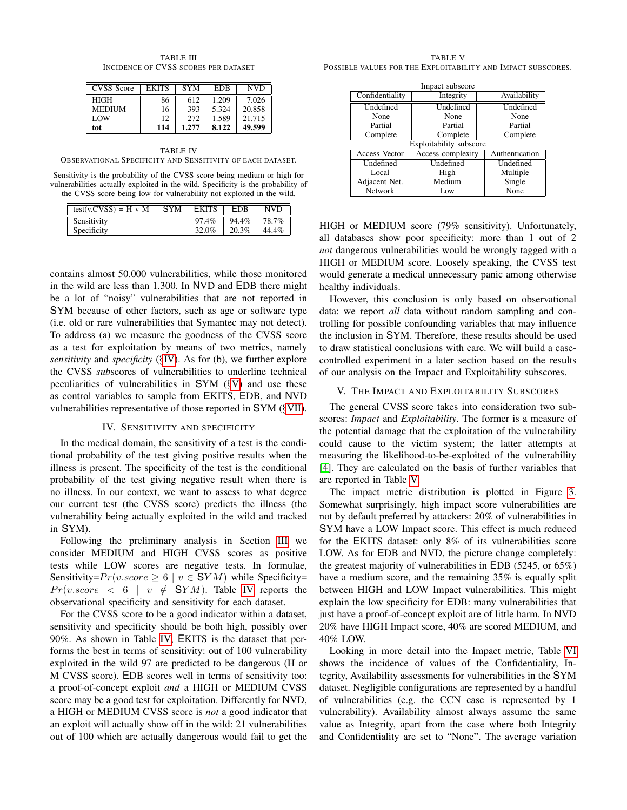TABLE III INCIDENCE OF CVSS SCORES PER DATASET

<span id="page-3-2"></span>

| CVSS Score    | <b>EKITS</b> | <b>SYM</b> | EDB   | <b>NVD</b> |
|---------------|--------------|------------|-------|------------|
| <b>HIGH</b>   | 86           | 612        | 1.209 | 7.026      |
| <b>MEDIUM</b> | 16           | 393        | 5.324 | 20.858     |
| LOW.          | 12           | 272        | 1.589 | 21.715     |
| tot           | 114          | 1.277      | 8.122 | 49.599     |

<span id="page-3-3"></span>TABLE IV OBSERVATIONAL SPECIFICITY AND SENSITIVITY OF EACH DATASET.

Sensitivity is the probability of the CVSS score being medium or high for vulnerabilities actually exploited in the wild. Specificity is the probability of the CVSS score being low for vulnerability not exploited in the wild.

| $test(v.CVSS) = H v M - SYM$ | <b>EKITS</b> | EDB   | <b>NVD</b> |
|------------------------------|--------------|-------|------------|
| Sensitivity                  | 97.4%        | 94.4% | 78.7%      |
| Specificity                  | 32.0%        | 20.3% | 44.4%      |

contains almost 50.000 vulnerabilities, while those monitored in the wild are less than 1.300. In NVD and EDB there might be a lot of "noisy" vulnerabilities that are not reported in SYM because of other factors, such as age or software type (i.e. old or rare vulnerabilities that Symantec may not detect). To address (a) we measure the goodness of the CVSS score as a test for exploitation by means of two metrics, namely *sensitivity* and *specificity* (§[IV\)](#page-3-0). As for (b), we further explore the CVSS *sub*scores of vulnerabilities to underline technical peculiarities of vulnerabilities in SYM  $(\S{V})$  and use these as control variables to sample from EKITS, EDB, and NVD vulnerabilities representative of those reported in SYM (§[VII\)](#page-5-1).

## IV. SENSITIVITY AND SPECIFICITY

<span id="page-3-0"></span>In the medical domain, the sensitivity of a test is the conditional probability of the test giving positive results when the illness is present. The specificity of the test is the conditional probability of the test giving negative result when there is no illness. In our context, we want to assess to what degree our current test (the CVSS score) predicts the illness (the vulnerability being actually exploited in the wild and tracked in SYM).

Following the preliminary analysis in Section [III](#page-1-1) we consider MEDIUM and HIGH CVSS scores as positive tests while LOW scores are negative tests. In formulae, Sensitivity= $Pr(v.score \ge 6 \mid v \in SYM)$  while Specificity=  $Pr(v \text{.score} \leq 6 \mid v \notin SYM)$ . Table [IV](#page-3-3) reports the observational specificity and sensitivity for each dataset.

For the CVSS score to be a good indicator within a dataset, sensitivity and specificity should be both high, possibly over 90%. As shown in Table [IV,](#page-3-3) EKITS is the dataset that performs the best in terms of sensitivity: out of 100 vulnerability exploited in the wild 97 are predicted to be dangerous (H or M CVSS score). EDB scores well in terms of sensitivity too: a proof-of-concept exploit *and* a HIGH or MEDIUM CVSS score may be a good test for exploitation. Differently for NVD, a HIGH or MEDIUM CVSS score is *not* a good indicator that an exploit will actually show off in the wild: 21 vulnerabilities out of 100 which are actually dangerous would fail to get the

<span id="page-3-4"></span>TABLE V POSSIBLE VALUES FOR THE EXPLOITABILITY AND IMPACT SUBSCORES.

| Impact subscore |                           |                |  |  |  |  |
|-----------------|---------------------------|----------------|--|--|--|--|
| Confidentiality | Availability<br>Integrity |                |  |  |  |  |
| Undefined       | Undefined                 | Undefined      |  |  |  |  |
| None            | None                      | None           |  |  |  |  |
| Partial         | Partial<br>Partial        |                |  |  |  |  |
| Complete        | Complete                  | Complete       |  |  |  |  |
|                 | Exploitability subscore   |                |  |  |  |  |
| Access Vector   | Access complexity         | Authentication |  |  |  |  |
| Undefined       | Undefined                 | Undefined      |  |  |  |  |
| Local           | High                      | Multiple       |  |  |  |  |
| Adjacent Net.   | Medium                    | Single         |  |  |  |  |
| <b>Network</b>  | Low                       | None           |  |  |  |  |

HIGH or MEDIUM score (79% sensitivity). Unfortunately, all databases show poor specificity: more than 1 out of 2 *not* dangerous vulnerabilities would be wrongly tagged with a HIGH or MEDIUM score. Loosely speaking, the CVSS test would generate a medical unnecessary panic among otherwise healthy individuals.

However, this conclusion is only based on observational data: we report *all* data without random sampling and controlling for possible confounding variables that may influence the inclusion in SYM. Therefore, these results should be used to draw statistical conclusions with care. We will build a casecontrolled experiment in a later section based on the results of our analysis on the Impact and Exploitability subscores.

## <span id="page-3-1"></span>V. THE IMPACT AND EXPLOITABILITY SUBSCORES

The general CVSS score takes into consideration two subscores: *Impact* and *Exploitability*. The former is a measure of the potential damage that the exploitation of the vulnerability could cause to the victim system; the latter attempts at measuring the likelihood-to-be-exploited of the vulnerability [\[4\]](#page-8-8). They are calculated on the basis of further variables that are reported in Table [V.](#page-3-4)

The impact metric distribution is plotted in Figure [3.](#page-4-0) Somewhat surprisingly, high impact score vulnerabilities are not by default preferred by attackers: 20% of vulnerabilities in SYM have a LOW Impact score. This effect is much reduced for the EKITS dataset: only 8% of its vulnerabilities score LOW. As for EDB and NVD, the picture change completely: the greatest majority of vulnerabilities in EDB (5245, or 65%) have a medium score, and the remaining 35% is equally split between HIGH and LOW Impact vulnerabilities. This might explain the low specificity for EDB: many vulnerabilities that just have a proof-of-concept exploit are of little harm. In NVD 20% have HIGH Impact score, 40% are scored MEDIUM, and 40% LOW.

Looking in more detail into the Impact metric, Table [VI](#page-4-1) shows the incidence of values of the Confidentiality, Integrity, Availability assessments for vulnerabilities in the SYM dataset. Negligible configurations are represented by a handful of vulnerabilities (e.g. the CCN case is represented by 1 vulnerability). Availability almost always assume the same value as Integrity, apart from the case where both Integrity and Confidentiality are set to "None". The average variation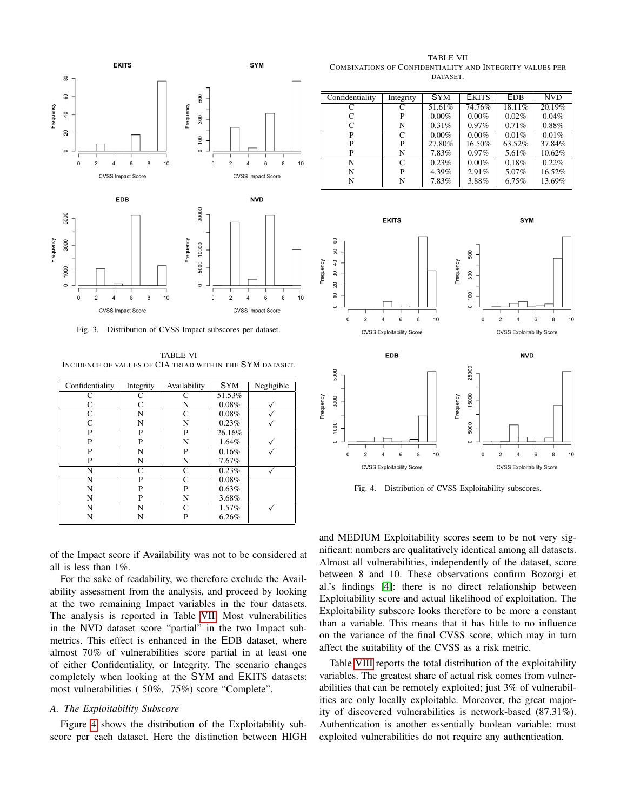

<span id="page-4-0"></span>Fig. 3. Distribution of CVSS Impact subscores per dataset.

<span id="page-4-1"></span>TABLE VI INCIDENCE OF VALUES OF CIA TRIAD WITHIN THE SYM DATASET.

| Confidentiality | Integrity | Availability          | SYM    | Negligible |
|-----------------|-----------|-----------------------|--------|------------|
| С               | С         | С                     | 51.53% |            |
| $\mathsf{C}$    | C         | N                     | 0.08%  |            |
| $\mathsf{C}$    | N         | $\mathsf{C}$          | 0.08%  |            |
| $\mathsf{C}$    | N         | N                     | 0.23%  |            |
| P               | P         | P                     | 26.16% |            |
| P               | P         | N                     | 1.64%  |            |
| P               | N         | P                     | 0.16%  |            |
| P               | N         | N                     | 7.67%  |            |
| N               | C         | C                     | 0.23%  |            |
| N               | P         | $\overline{\text{c}}$ | 0.08%  |            |
| N               | P         | P                     | 0.63%  |            |
| N               | P         | N                     | 3.68%  |            |
| N               | N         | $\overline{\rm c}$    | 1.57%  |            |
| N               | N         | P                     | 6.26%  |            |

of the Impact score if Availability was not to be considered at all is less than 1%.

For the sake of readability, we therefore exclude the Availability assessment from the analysis, and proceed by looking at the two remaining Impact variables in the four datasets. The analysis is reported in Table [VII.](#page-4-2) Most vulnerabilities in the NVD dataset score "partial" in the two Impact submetrics. This effect is enhanced in the EDB dataset, where almost 70% of vulnerabilities score partial in at least one of either Confidentiality, or Integrity. The scenario changes completely when looking at the SYM and EKITS datasets: most vulnerabilities ( 50%, 75%) score "Complete".

## *A. The Exploitability Subscore*

Figure [4](#page-4-3) shows the distribution of the Exploitability subscore per each dataset. Here the distinction between HIGH

<span id="page-4-2"></span>TABLE VII COMBINATIONS OF CONFIDENTIALITY AND INTEGRITY VALUES PER DATASET.

| Confidentiality | Integrity | SYM      | <b>EKITS</b> | <b>EDB</b>          | <b>NVD</b> |
|-----------------|-----------|----------|--------------|---------------------|------------|
|                 | C         | 51.61%   | 74.76%       | 18.11%              | 20.19%     |
| C               | P         | $0.00\%$ | $0.00\%$     | 0.02%               | 0.04%      |
| $\mathcal{C}$   | N         | 0.31%    | $0.97\%$     | 0.71%               | 0.88%      |
| P               | C         | $0.00\%$ | $0.00\%$     | $\overline{0.01\%}$ | $0.01\%$   |
| P               | P         | 27.80%   | 16.50%       | 63.52%              | 37.84%     |
| P               | N         | 7.83%    | $0.97\%$     | 5.61%               | 10.62%     |
| N               | C         | 0.23%    | $0.00\%$     | 0.18%               | $0.22\%$   |
| N               | P         | 4.39%    | 2.91%        | 5.07%               | 16.52%     |
| N               | N         | 7.83%    | 3.88%        | 6.75%               | 13.69%     |



<span id="page-4-3"></span>Fig. 4. Distribution of CVSS Exploitability subscores.

and MEDIUM Exploitability scores seem to be not very significant: numbers are qualitatively identical among all datasets. Almost all vulnerabilities, independently of the dataset, score between 8 and 10. These observations confirm Bozorgi et al.'s findings [\[4\]](#page-8-8): there is no direct relationship between Exploitability score and actual likelihood of exploitation. The Exploitability subscore looks therefore to be more a constant than a variable. This means that it has little to no influence on the variance of the final CVSS score, which may in turn affect the suitability of the CVSS as a risk metric.

Table [VIII](#page-5-2) reports the total distribution of the exploitability variables. The greatest share of actual risk comes from vulnerabilities that can be remotely exploited; just 3% of vulnerabilities are only locally exploitable. Moreover, the great majority of discovered vulnerabilities is network-based (87.31%). Authentication is another essentially boolean variable: most exploited vulnerabilities do not require any authentication.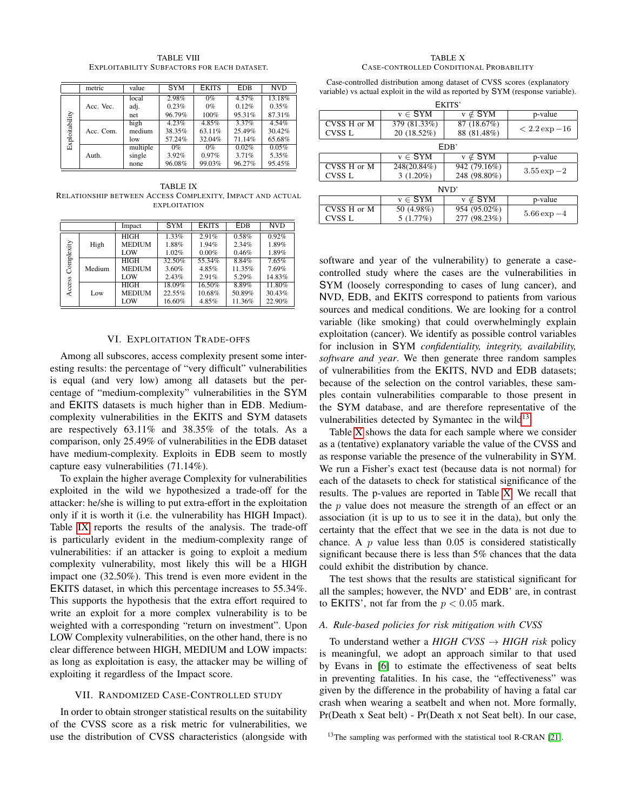<span id="page-5-2"></span>

|                | metric    | value    | <b>SYM</b> | <b>EKITS</b> | <b>EDB</b> | <b>NVD</b> |
|----------------|-----------|----------|------------|--------------|------------|------------|
|                |           | local    | 2.98%      | $0\%$        | 4.57%      | 13.18%     |
|                | Acc. Vec. | adj.     | 0.23%      | $0\%$        | 0.12%      | 0.35%      |
| Exploitability |           | net      | 96.79%     | 100%         | 95.31%     | 87.31%     |
|                |           | high     | $4.23\%$   | 4.85%        | 3.37%      | $4.54\%$   |
|                | Acc. Com. | medium   | 38.35%     | 63.11%       | 25.49%     | 30.42%     |
|                |           | low      | 57.24%     | 32.04%       | 71.14%     | 65.68%     |
|                |           | multiple | $0\%$      | $0\%$        | 0.02%      | 0.05%      |
|                | Auth.     | single   | 3.92%      | 0.97%        | 3.71%      | 5.35%      |
|                |           | none     | 96.08%     | 99.03%       | 96.27%     | 95.45%     |

TABLE VIII EXPLOITABILITY SUBFACTORS FOR EACH DATASET.

<span id="page-5-3"></span>TABLE IX RELATIONSHIP BETWEEN ACCESS COMPLEXITY, IMPACT AND ACTUAL EXPLOITATION

|            |        | Impact        | <b>SYM</b> | <b>EKITS</b> | <b>EDB</b> | <b>NVD</b> |
|------------|--------|---------------|------------|--------------|------------|------------|
|            |        | <b>HIGH</b>   | $1.33\%$   | 2.91%        | $0.58\%$   | 0.92%      |
|            | High   | <b>MEDIUM</b> | 1.88%      | 1.94%        | 2.34%      | 1.89%      |
|            |        | LOW           | 1.02%      | $0.00\%$     | 0.46%      | 1.89%      |
| Complexity |        | HIGH          | 32.50%     | 55.34%       | 8.84%      | 7.65%      |
|            | Medium | <b>MEDIUM</b> | 3.60%      | 4.85%        | 11.35%     | 7.69%      |
|            |        | LOW           | 2.43%      | 2.91%        | 5.29%      | 14.83%     |
| Access     |        | <b>HIGH</b>   | 18.09%     | 16.50%       | 8.89%      | 11.80%     |
|            | Low    | <b>MEDIUM</b> | 22.55%     | 10.68%       | 50.89%     | 30.43%     |
|            |        | LOW           | 16.60%     | 4.85%        | 11.36%     | 22.90%     |

#### VI. EXPLOITATION TRADE-OFFS

<span id="page-5-0"></span>Among all subscores, access complexity present some interesting results: the percentage of "very difficult" vulnerabilities is equal (and very low) among all datasets but the percentage of "medium-complexity" vulnerabilities in the SYM and EKITS datasets is much higher than in EDB. Mediumcomplexity vulnerabilities in the EKITS and SYM datasets are respectively 63.11% and 38.35% of the totals. As a comparison, only 25.49% of vulnerabilities in the EDB dataset have medium-complexity. Exploits in EDB seem to mostly capture easy vulnerabilities (71.14%).

To explain the higher average Complexity for vulnerabilities exploited in the wild we hypothesized a trade-off for the attacker: he/she is willing to put extra-effort in the exploitation only if it is worth it (i.e. the vulnerability has HIGH Impact). Table [IX](#page-5-3) reports the results of the analysis. The trade-off is particularly evident in the medium-complexity range of vulnerabilities: if an attacker is going to exploit a medium complexity vulnerability, most likely this will be a HIGH impact one (32.50%). This trend is even more evident in the EKITS dataset, in which this percentage increases to 55.34%. This supports the hypothesis that the extra effort required to write an exploit for a more complex vulnerability is to be weighted with a corresponding "return on investment". Upon LOW Complexity vulnerabilities, on the other hand, there is no clear difference between HIGH, MEDIUM and LOW impacts: as long as exploitation is easy, the attacker may be willing of exploiting it regardless of the Impact score.

## VII. RANDOMIZED CASE-CONTROLLED STUDY

<span id="page-5-1"></span>In order to obtain stronger statistical results on the suitability of the CVSS score as a risk metric for vulnerabilities, we use the distribution of CVSS characteristics (alongside with

#### TABLE X CASE-CONTROLLED CONDITIONAL PROBABILITY

<span id="page-5-5"></span>Case-controlled distribution among dataset of CVSS scores (explanatory variable) vs actual exploit in the wild as reported by SYM (response variable).

| <b>FKITS'</b>     |                 |                |                  |  |  |  |
|-------------------|-----------------|----------------|------------------|--|--|--|
|                   | $v \in SYM$     | $v \notin SYM$ | p-value          |  |  |  |
| CVSS H or M       | 379 (81.33%)    | 87 (18.67%)    | $< 2.2 \exp -16$ |  |  |  |
| CVSS <sub>L</sub> | 20 (18.52%)     | 88 (81.48%)    |                  |  |  |  |
| EDB'              |                 |                |                  |  |  |  |
|                   | $v \in SYM$     | $v \notin SYM$ | p-value          |  |  |  |
| CVSS H or M       | 248(20.84%)     | 942 (79.16%)   | $3.55 \exp -2$   |  |  |  |
| <b>CVSS L</b>     | $3(1.20\%)$     | 248 (98.80%)   |                  |  |  |  |
|                   | NV <sub>D</sub> |                |                  |  |  |  |
|                   | $v \in SYM$     | $v \notin SYM$ | p-value          |  |  |  |
| CVSS H or M       | 50 (4.98%)      | 954 (95.02%)   | $5.66 \exp -4$   |  |  |  |
| CVSS L            | 5(1.77%)        | 277 (98.23%)   |                  |  |  |  |

software and year of the vulnerability) to generate a casecontrolled study where the cases are the vulnerabilities in SYM (loosely corresponding to cases of lung cancer), and NVD, EDB, and EKITS correspond to patients from various sources and medical conditions. We are looking for a control variable (like smoking) that could overwhelmingly explain exploitation (cancer). We identify as possible control variables for inclusion in SYM *confidentiality, integrity, availability, software and year*. We then generate three random samples of vulnerabilities from the EKITS, NVD and EDB datasets; because of the selection on the control variables, these samples contain vulnerabilities comparable to those present in the SYM database, and are therefore representative of the vulnerabilities detected by Symantec in the wild $13$ .

Table [X](#page-5-5) shows the data for each sample where we consider as a (tentative) explanatory variable the value of the CVSS and as response variable the presence of the vulnerability in SYM. We run a Fisher's exact test (because data is not normal) for each of the datasets to check for statistical significance of the results. The p-values are reported in Table [X.](#page-5-5) We recall that the  $p$  value does not measure the strength of an effect or an association (it is up to us to see it in the data), but only the certainty that the effect that we see in the data is not due to chance. A  $p$  value less than 0.05 is considered statistically significant because there is less than 5% chances that the data could exhibit the distribution by chance.

The test shows that the results are statistical significant for all the samples; however, the NVD' and EDB' are, in contrast to EKITS', not far from the  $p < 0.05$  mark.

#### *A. Rule-based policies for risk mitigation with CVSS*

To understand wether a  $HIGH$  CVSS  $\rightarrow HIGH$  risk policy is meaningful, we adopt an approach similar to that used by Evans in [\[6\]](#page-8-14) to estimate the effectiveness of seat belts in preventing fatalities. In his case, the "effectiveness" was given by the difference in the probability of having a fatal car crash when wearing a seatbelt and when not. More formally, Pr(Death x Seat belt) - Pr(Death x not Seat belt). In our case,

<span id="page-5-4"></span><sup>&</sup>lt;sup>13</sup>The sampling was performed with the statistical tool R-CRAN [\[21\]](#page-8-15).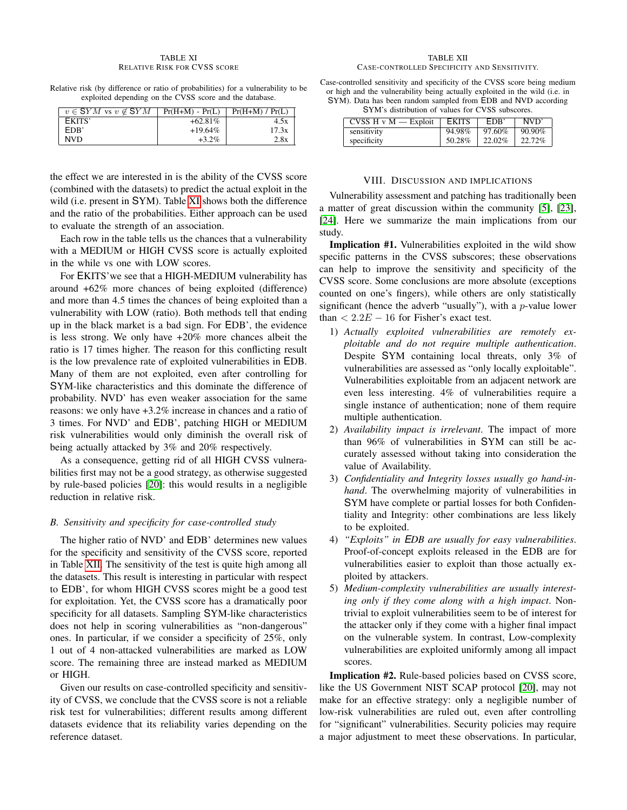#### TABLE XI RELATIVE RISK FOR CVSS SCORE

<span id="page-6-1"></span>Relative risk (by difference or ratio of probabilities) for a vulnerability to be exploited depending on the CVSS score and the database.

| $v \in SYM$ vs $v \notin SYM$ | $Pr(H+M) - Pr(L)$ | $Pr(H+M)$ / $Pr(L)$ |
|-------------------------------|-------------------|---------------------|
| <b>FKITS'</b>                 | $+62.81%$         | 4.5x                |
| FDR'                          | $+19.64%$         | 17.3x               |
| <b>NVD</b>                    | $+3.2\%$          | 2.8x                |

the effect we are interested in is the ability of the CVSS score (combined with the datasets) to predict the actual exploit in the wild (i.e. present in SYM). Table [XI](#page-6-1) shows both the difference and the ratio of the probabilities. Either approach can be used to evaluate the strength of an association.

Each row in the table tells us the chances that a vulnerability with a MEDIUM or HIGH CVSS score is actually exploited in the while vs one with LOW scores.

For EKITS'we see that a HIGH-MEDIUM vulnerability has around +62% more chances of being exploited (difference) and more than 4.5 times the chances of being exploited than a vulnerability with LOW (ratio). Both methods tell that ending up in the black market is a bad sign. For EDB', the evidence is less strong. We only have +20% more chances albeit the ratio is 17 times higher. The reason for this conflicting result is the low prevalence rate of exploited vulnerabilities in EDB. Many of them are not exploited, even after controlling for SYM-like characteristics and this dominate the difference of probability. NVD' has even weaker association for the same reasons: we only have +3.2% increase in chances and a ratio of 3 times. For NVD' and EDB', patching HIGH or MEDIUM risk vulnerabilities would only diminish the overall risk of being actually attacked by 3% and 20% respectively.

As a consequence, getting rid of all HIGH CVSS vulnerabilities first may not be a good strategy, as otherwise suggested by rule-based policies [\[20\]](#page-8-1): this would results in a negligible reduction in relative risk.

## *B. Sensitivity and specificity for case-controlled study*

The higher ratio of NVD' and EDB' determines new values for the specificity and sensitivity of the CVSS score, reported in Table [XII.](#page-6-2) The sensitivity of the test is quite high among all the datasets. This result is interesting in particular with respect to EDB', for whom HIGH CVSS scores might be a good test for exploitation. Yet, the CVSS score has a dramatically poor specificity for all datasets. Sampling SYM-like characteristics does not help in scoring vulnerabilities as "non-dangerous" ones. In particular, if we consider a specificity of 25%, only 1 out of 4 non-attacked vulnerabilities are marked as LOW score. The remaining three are instead marked as MEDIUM or HIGH.

Given our results on case-controlled specificity and sensitivity of CVSS, we conclude that the CVSS score is not a reliable risk test for vulnerabilities; different results among different datasets evidence that its reliability varies depending on the reference dataset.

## TABLE XII

CASE-CONTROLLED SPECIFICITY AND SENSITIVITY.

<span id="page-6-2"></span>Case-controlled sensitivity and specificity of the CVSS score being medium or high and the vulnerability being actually exploited in the wild (i.e. in SYM). Data has been random sampled from EDB and NVD according

SYM's distribution of values for CVSS subscores.

| $\cup$ 1 m s alsu loution of values for $\cup$ v so subseques. |              |        |                 |  |  |
|----------------------------------------------------------------|--------------|--------|-----------------|--|--|
| CVSS H v M $-$ Exploit $\perp$                                 | <b>EKITS</b> | FDB'   | NV <sub>D</sub> |  |  |
| sensitivity                                                    | 94.98%       | 97.60% | $90.90\%$       |  |  |
| specificity                                                    | 50.28%       | 22.02% | 22.72%          |  |  |

## VIII. DISCUSSION AND IMPLICATIONS

<span id="page-6-0"></span>Vulnerability assessment and patching has traditionally been a matter of great discussion within the community [\[5\]](#page-8-16), [\[23\]](#page-8-17), [\[24\]](#page-8-5). Here we summarize the main implications from our study.

Implication #1. Vulnerabilities exploited in the wild show specific patterns in the CVSS subscores; these observations can help to improve the sensitivity and specificity of the CVSS score. Some conclusions are more absolute (exceptions counted on one's fingers), while others are only statistically significant (hence the adverb "usually"), with a  $p$ -value lower than  $\langle 2.2E - 16$  for Fisher's exact test.

- 1) *Actually exploited vulnerabilities are remotely exploitable and do not require multiple authentication*. Despite SYM containing local threats, only 3% of vulnerabilities are assessed as "only locally exploitable". Vulnerabilities exploitable from an adjacent network are even less interesting. 4% of vulnerabilities require a single instance of authentication; none of them require multiple authentication.
- 2) *Availability impact is irrelevant*. The impact of more than 96% of vulnerabilities in SYM can still be accurately assessed without taking into consideration the value of Availability.
- 3) *Confidentiality and Integrity losses usually go hand-inhand*. The overwhelming majority of vulnerabilities in SYM have complete or partial losses for both Confidentiality and Integrity: other combinations are less likely to be exploited.
- 4) *"Exploits" in EDB are usually for easy vulnerabilities*. Proof-of-concept exploits released in the EDB are for vulnerabilities easier to exploit than those actually exploited by attackers.
- 5) *Medium-complexity vulnerabilities are usually interesting only if they come along with a high impact*. Nontrivial to exploit vulnerabilities seem to be of interest for the attacker only if they come with a higher final impact on the vulnerable system. In contrast, Low-complexity vulnerabilities are exploited uniformly among all impact scores.

Implication #2. Rule-based policies based on CVSS score, like the US Government NIST SCAP protocol [\[20\]](#page-8-1), may not make for an effective strategy: only a negligible number of low-risk vulnerabilities are ruled out, even after controlling for "significant" vulnerabilities. Security policies may require a major adjustment to meet these observations. In particular,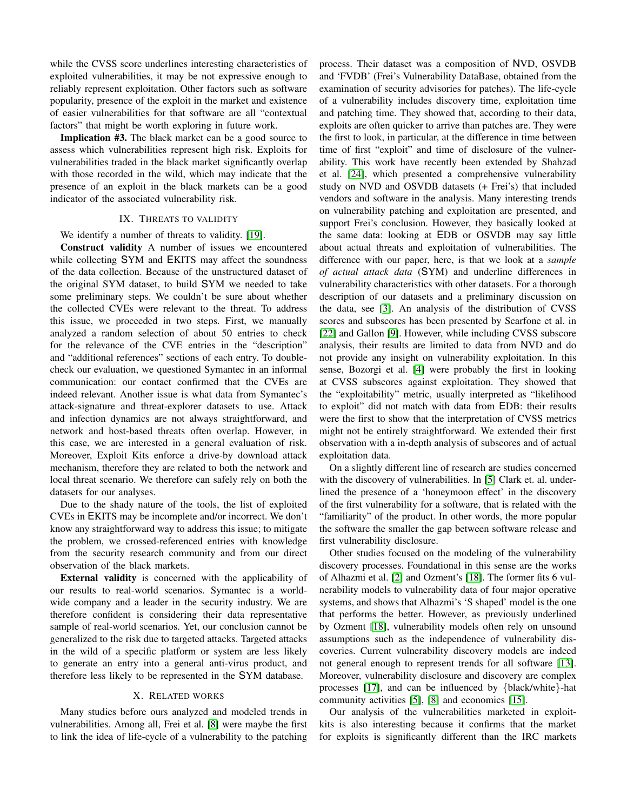while the CVSS score underlines interesting characteristics of exploited vulnerabilities, it may be not expressive enough to reliably represent exploitation. Other factors such as software popularity, presence of the exploit in the market and existence of easier vulnerabilities for that software are all "contextual factors" that might be worth exploring in future work.

Implication #3. The black market can be a good source to assess which vulnerabilities represent high risk. Exploits for vulnerabilities traded in the black market significantly overlap with those recorded in the wild, which may indicate that the presence of an exploit in the black markets can be a good indicator of the associated vulnerability risk.

## IX. THREATS TO VALIDITY

<span id="page-7-0"></span>We identify a number of threats to validity. [\[19\]](#page-8-18).

Construct validity A number of issues we encountered while collecting SYM and EKITS may affect the soundness of the data collection. Because of the unstructured dataset of the original SYM dataset, to build SYM we needed to take some preliminary steps. We couldn't be sure about whether the collected CVEs were relevant to the threat. To address this issue, we proceeded in two steps. First, we manually analyzed a random selection of about 50 entries to check for the relevance of the CVE entries in the "description" and "additional references" sections of each entry. To doublecheck our evaluation, we questioned Symantec in an informal communication: our contact confirmed that the CVEs are indeed relevant. Another issue is what data from Symantec's attack-signature and threat-explorer datasets to use. Attack and infection dynamics are not always straightforward, and network and host-based threats often overlap. However, in this case, we are interested in a general evaluation of risk. Moreover, Exploit Kits enforce a drive-by download attack mechanism, therefore they are related to both the network and local threat scenario. We therefore can safely rely on both the datasets for our analyses.

Due to the shady nature of the tools, the list of exploited CVEs in EKITS may be incomplete and/or incorrect. We don't know any straightforward way to address this issue; to mitigate the problem, we crossed-referenced entries with knowledge from the security research community and from our direct observation of the black markets.

External validity is concerned with the applicability of our results to real-world scenarios. Symantec is a worldwide company and a leader in the security industry. We are therefore confident is considering their data representative sample of real-world scenarios. Yet, our conclusion cannot be generalized to the risk due to targeted attacks. Targeted attacks in the wild of a specific platform or system are less likely to generate an entry into a general anti-virus product, and therefore less likely to be represented in the SYM database.

## X. RELATED WORKS

<span id="page-7-1"></span>Many studies before ours analyzed and modeled trends in vulnerabilities. Among all, Frei et al. [\[8\]](#page-8-4) were maybe the first to link the idea of life-cycle of a vulnerability to the patching process. Their dataset was a composition of NVD, OSVDB and 'FVDB' (Frei's Vulnerability DataBase, obtained from the examination of security advisories for patches). The life-cycle of a vulnerability includes discovery time, exploitation time and patching time. They showed that, according to their data, exploits are often quicker to arrive than patches are. They were the first to look, in particular, at the difference in time between time of first "exploit" and time of disclosure of the vulnerability. This work have recently been extended by Shahzad et al. [\[24\]](#page-8-5), which presented a comprehensive vulnerability study on NVD and OSVDB datasets (+ Frei's) that included vendors and software in the analysis. Many interesting trends on vulnerability patching and exploitation are presented, and support Frei's conclusion. However, they basically looked at the same data: looking at EDB or OSVDB may say little about actual threats and exploitation of vulnerabilities. The difference with our paper, here, is that we look at a *sample of actual attack data* (SYM) and underline differences in vulnerability characteristics with other datasets. For a thorough description of our datasets and a preliminary discussion on the data, see [\[3\]](#page-8-19). An analysis of the distribution of CVSS scores and subscores has been presented by Scarfone et al. in [\[22\]](#page-8-13) and Gallon [\[9\]](#page-8-20). However, while including CVSS subscore analysis, their results are limited to data from NVD and do not provide any insight on vulnerability exploitation. In this sense, Bozorgi et al. [\[4\]](#page-8-8) were probably the first in looking at CVSS subscores against exploitation. They showed that the "exploitability" metric, usually interpreted as "likelihood to exploit" did not match with data from EDB: their results were the first to show that the interpretation of CVSS metrics might not be entirely straightforward. We extended their first observation with a in-depth analysis of subscores and of actual exploitation data.

On a slightly different line of research are studies concerned with the discovery of vulnerabilities. In [\[5\]](#page-8-16) Clark et. al. underlined the presence of a 'honeymoon effect' in the discovery of the first vulnerability for a software, that is related with the "familiarity" of the product. In other words, the more popular the software the smaller the gap between software release and first vulnerability disclosure.

Other studies focused on the modeling of the vulnerability discovery processes. Foundational in this sense are the works of Alhazmi et al. [\[2\]](#page-8-2) and Ozment's [\[18\]](#page-8-21). The former fits 6 vulnerability models to vulnerability data of four major operative systems, and shows that Alhazmi's 'S shaped' model is the one that performs the better. However, as previously underlined by Ozment [\[18\]](#page-8-21), vulnerability models often rely on unsound assumptions such as the independence of vulnerability discoveries. Current vulnerability discovery models are indeed not general enough to represent trends for all software [\[13\]](#page-8-3). Moreover, vulnerability disclosure and discovery are complex processes [\[17\]](#page-8-22), and can be influenced by {black/white}-hat community activities [\[5\]](#page-8-16), [\[8\]](#page-8-4) and economics [\[15\]](#page-8-9).

Our analysis of the vulnerabilities marketed in exploitkits is also interesting because it confirms that the market for exploits is significantly different than the IRC markets